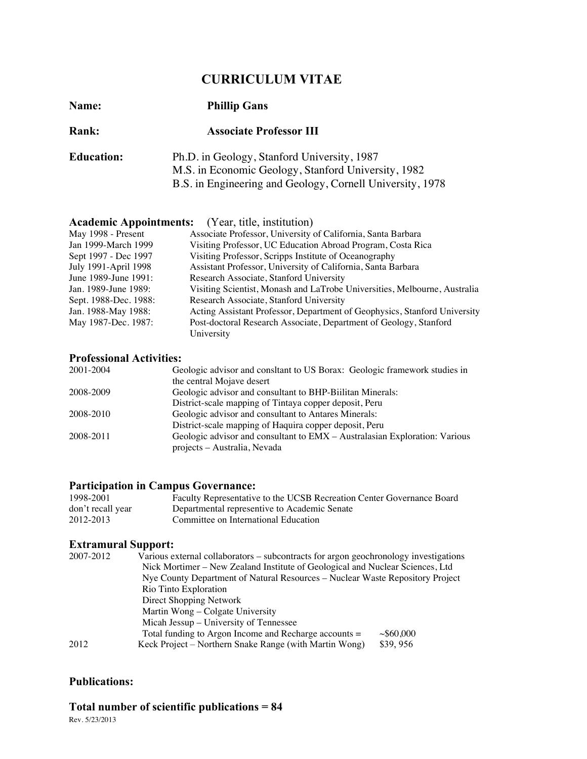# **CURRICULUM VITAE**

| Name:             | <b>Phillip Gans</b><br><b>Associate Professor III</b><br>Ph.D. in Geology, Stanford University, 1987<br>M.S. in Economic Geology, Stanford University, 1982<br>B.S. in Engineering and Geology, Cornell University, 1978 |  |
|-------------------|--------------------------------------------------------------------------------------------------------------------------------------------------------------------------------------------------------------------------|--|
| <b>Rank:</b>      |                                                                                                                                                                                                                          |  |
| <b>Education:</b> |                                                                                                                                                                                                                          |  |

|                       | <b>Academic Appointments:</b> (Year, title, institution)                  |
|-----------------------|---------------------------------------------------------------------------|
| May 1998 - Present    | Associate Professor, University of California, Santa Barbara              |
| Jan 1999-March 1999   | Visiting Professor, UC Education Abroad Program, Costa Rica               |
| Sept 1997 - Dec 1997  | Visiting Professor, Scripps Institute of Oceanography                     |
| July 1991-April 1998  | Assistant Professor, University of California, Santa Barbara              |
| June 1989-June 1991:  | Research Associate, Stanford University                                   |
| Jan. 1989-June 1989:  | Visiting Scientist, Monash and LaTrobe Universities, Melbourne, Australia |
| Sept. 1988-Dec. 1988: | Research Associate, Stanford University                                   |
| Jan. 1988-May 1988:   | Acting Assistant Professor, Department of Geophysics, Stanford University |
| May 1987-Dec. 1987:   | Post-doctoral Research Associate, Department of Geology, Stanford         |
|                       | University                                                                |

## **Professional Activities:**

| 2001-2004 | Geologic advisor and consltant to US Borax: Geologic framework studies in  |
|-----------|----------------------------------------------------------------------------|
|           | the central Mojave desert                                                  |
| 2008-2009 | Geologic advisor and consultant to BHP-Biilitan Minerals:                  |
|           | District-scale mapping of Tintaya copper deposit, Peru                     |
| 2008-2010 | Geologic advisor and consultant to Antares Minerals:                       |
|           | District-scale mapping of Haquira copper deposit, Peru                     |
| 2008-2011 | Geologic advisor and consultant to EMX - Australasian Exploration: Various |
|           | projects – Australia, Nevada                                               |

## **Participation in Campus Governance:**

| 1998-2001         | Faculty Representative to the UCSB Recreation Center Governance Board |
|-------------------|-----------------------------------------------------------------------|
| don't recall year | Departmental representive to Academic Senate                          |
| 2012-2013         | Committee on International Education                                  |

## **Extramural Support:**

| 2007-2012 | Various external collaborators – subcontracts for argon geochronology investigations |          |  |
|-----------|--------------------------------------------------------------------------------------|----------|--|
|           | Nick Mortimer – New Zealand Institute of Geological and Nuclear Sciences, Ltd        |          |  |
|           | Nye County Department of Natural Resources – Nuclear Waste Repository Project        |          |  |
|           | Rio Tinto Exploration                                                                |          |  |
|           | Direct Shopping Network                                                              |          |  |
|           | Martin Wong – Colgate University                                                     |          |  |
|           | Micah Jessup – University of Tennessee                                               |          |  |
|           | Total funding to Argon Income and Recharge accounts =                                | ~10000   |  |
| 2012      | Keck Project – Northern Snake Range (with Martin Wong)                               | \$39,956 |  |

### **Publications:**

# **Total number of scientific publications = 84**

Rev. 5/23/2013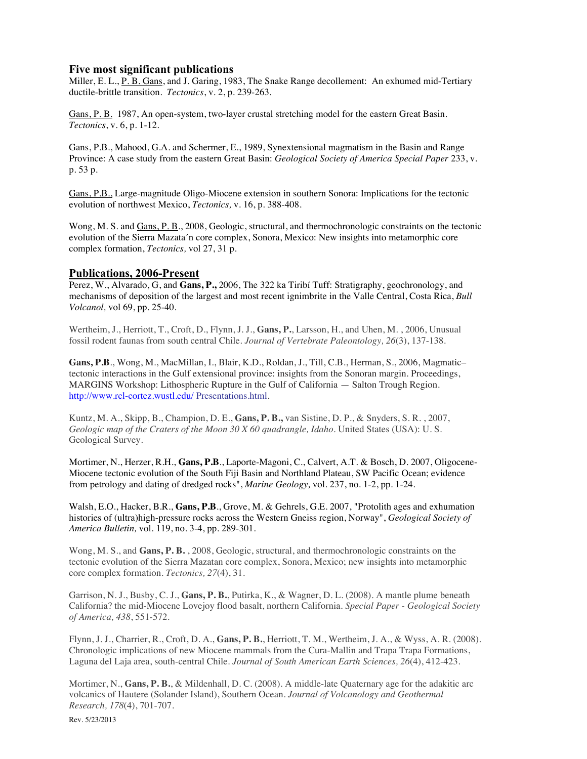#### **Five most significant publications**

Miller, E. L., P. B. Gans, and J. Garing, 1983, The Snake Range decollement: An exhumed mid-Tertiary ductile-brittle transition. *Tectonics*, v. 2, p. 239-263.

Gans, P. B. 1987, An open-system, two-layer crustal stretching model for the eastern Great Basin. *Tectonics*, v. 6, p. 1-12.

Gans, P.B., Mahood, G.A. and Schermer, E., 1989, Synextensional magmatism in the Basin and Range Province: A case study from the eastern Great Basin: *Geological Society of America Special Paper* 233, v. p. 53 p.

Gans, P.B., Large-magnitude Oligo-Miocene extension in southern Sonora: Implications for the tectonic evolution of northwest Mexico, *Tectonics,* v. 16, p. 388-408.

Wong, M. S. and Gans, P. B., 2008, Geologic, structural, and thermochronologic constraints on the tectonic evolution of the Sierra Mazata´n core complex, Sonora, Mexico: New insights into metamorphic core complex formation, *Tectonics,* vol 27, 31 p.

#### **Publications, 2006-Present**

Perez, W., Alvarado, G, and **Gans, P.,** 2006, The 322 ka Tiribí Tuff: Stratigraphy, geochronology, and mechanisms of deposition of the largest and most recent ignimbrite in the Valle Central, Costa Rica, *Bull Volcanol,* vol 69, pp. 25-40.

Wertheim, J., Herriott, T., Croft, D., Flynn, J. J., **Gans, P.**, Larsson, H., and Uhen, M. , 2006, Unusual fossil rodent faunas from south central Chile. *Journal of Vertebrate Paleontology, 26*(3), 137-138.

**Gans, P.B**., Wong, M., MacMillan, I., Blair, K.D., Roldan, J., Till, C.B., Herman, S., 2006, Magmatic– tectonic interactions in the Gulf extensional province: insights from the Sonoran margin. Proceedings, MARGINS Workshop: Lithospheric Rupture in the Gulf of California — Salton Trough Region. http://www.rcl-cortez.wustl.edu/ Presentations.html.

Kuntz, M. A., Skipp, B., Champion, D. E., **Gans, P. B.,** van Sistine, D. P., & Snyders, S. R. , 2007, *Geologic map of the Craters of the Moon 30 X 60 quadrangle, Idaho*. United States (USA): U. S. Geological Survey.

Mortimer, N., Herzer, R.H., **Gans, P.B**., Laporte-Magoni, C., Calvert, A.T. & Bosch, D. 2007, Oligocene-Miocene tectonic evolution of the South Fiji Basin and Northland Plateau, SW Pacific Ocean; evidence from petrology and dating of dredged rocks", *Marine Geology,* vol. 237, no. 1-2, pp. 1-24.

Walsh, E.O., Hacker, B.R., **Gans, P.B**., Grove, M. & Gehrels, G.E. 2007, "Protolith ages and exhumation histories of (ultra)high-pressure rocks across the Western Gneiss region, Norway", *Geological Society of America Bulletin,* vol. 119, no. 3-4, pp. 289-301.

Wong, M. S., and **Gans, P. B.** , 2008, Geologic, structural, and thermochronologic constraints on the tectonic evolution of the Sierra Mazatan core complex, Sonora, Mexico; new insights into metamorphic core complex formation. *Tectonics, 27*(4), 31.

Garrison, N. J., Busby, C. J., **Gans, P. B.**, Putirka, K., & Wagner, D. L. (2008). A mantle plume beneath California? the mid-Miocene Lovejoy flood basalt, northern California. *Special Paper - Geological Society of America, 438*, 551-572.

Flynn, J. J., Charrier, R., Croft, D. A., **Gans, P. B.**, Herriott, T. M., Wertheim, J. A., & Wyss, A. R. (2008). Chronologic implications of new Miocene mammals from the Cura-Mallin and Trapa Trapa Formations, Laguna del Laja area, south-central Chile. *Journal of South American Earth Sciences, 26*(4), 412-423.

Mortimer, N., **Gans, P. B.**, & Mildenhall, D. C. (2008). A middle-late Quaternary age for the adakitic arc volcanics of Hautere (Solander Island), Southern Ocean. *Journal of Volcanology and Geothermal Research, 178*(4), 701-707.

Rev. 5/23/2013